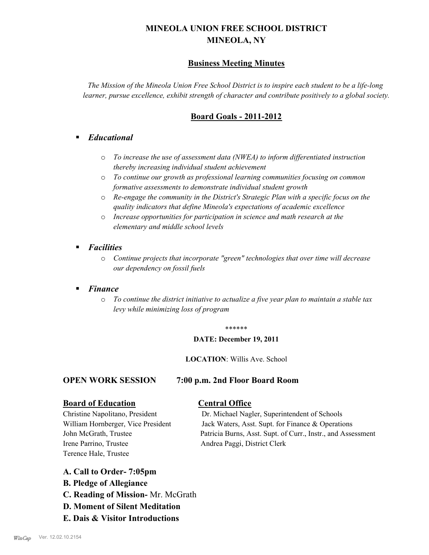# **MINEOLA UNION FREE SCHOOL DISTRICT MINEOLA, NY**

# **Business Meeting Minutes**

*The Mission of the Mineola Union Free School District is to inspire each student to be a life-long learner, pursue excellence, exhibit strength of character and contribute positively to a global society.*

# **Board Goals - 2011-2012**

# § *Educational*

- o *To increase the use of assessment data (NWEA) to inform differentiated instruction thereby increasing individual student achievement*
- o *To continue our growth as professional learning communities focusing on common formative assessments to demonstrate individual student growth*
- o *Re-engage the community in the District's Strategic Plan with a specific focus on the quality indicators that define Mineola's expectations of academic excellence*
- o *Increase opportunities for participation in science and math research at the elementary and middle school levels*
- *Facilities* 
	- o *Continue projects that incorporate "green" technologies that over time will decrease our dependency on fossil fuels*

# § *Finance*

o *To continue the district initiative to actualize a five year plan to maintain a stable tax levy while minimizing loss of program*

#### \*\*\*\*\*\*

#### **DATE: December 19, 2011**

**LOCATION**: Willis Ave. School

### **OPEN WORK SESSION 7:00 p.m. 2nd Floor Board Room**

### **Board of Education Central Office**

Irene Parrino, Trustee Andrea Paggi, District Clerk Terence Hale, Trustee

Christine Napolitano, President Dr. Michael Nagler, Superintendent of Schools William Hornberger, Vice President Jack Waters, Asst. Supt. for Finance & Operations John McGrath, Trustee Patricia Burns, Asst. Supt. of Curr., Instr., and Assessment

### **A. Call to Order- 7:05pm**

- **B. Pledge of Allegiance**
- **C. Reading of Mission-** Mr. McGrath
- **D. Moment of Silent Meditation**
- **E. Dais & Visitor Introductions**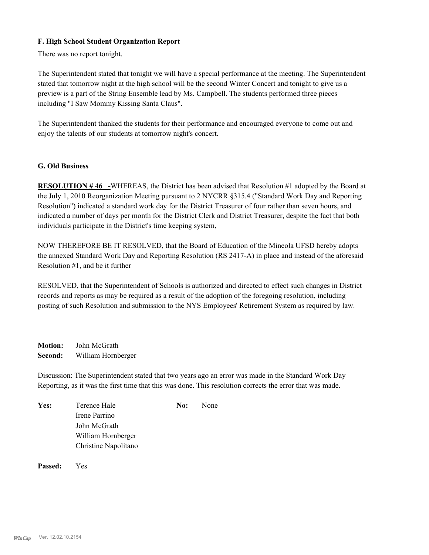#### **F. High School Student Organization Report**

There was no report tonight.

The Superintendent stated that tonight we will have a special performance at the meeting. The Superintendent stated that tomorrow night at the high school will be the second Winter Concert and tonight to give us a preview is a part of the String Ensemble lead by Ms. Campbell. The students performed three pieces including "I Saw Mommy Kissing Santa Claus".

The Superintendent thanked the students for their performance and encouraged everyone to come out and enjoy the talents of our students at tomorrow night's concert.

#### **G. Old Business**

**RESOLUTION # 46 -**WHEREAS, the District has been advised that Resolution #1 adopted by the Board at the July 1, 2010 Reorganization Meeting pursuant to 2 NYCRR §315.4 ("Standard Work Day and Reporting Resolution") indicated a standard work day for the District Treasurer of four rather than seven hours, and indicated a number of days per month for the District Clerk and District Treasurer, despite the fact that both individuals participate in the District's time keeping system,

NOW THEREFORE BE IT RESOLVED, that the Board of Education of the Mineola UFSD hereby adopts the annexed Standard Work Day and Reporting Resolution (RS 2417-A) in place and instead of the aforesaid Resolution #1, and be it further

RESOLVED, that the Superintendent of Schools is authorized and directed to effect such changes in District records and reports as may be required as a result of the adoption of the foregoing resolution, including posting of such Resolution and submission to the NYS Employees' Retirement System as required by law.

**Motion:** John McGrath **Second:** William Hornberger

Discussion: The Superintendent stated that two years ago an error was made in the Standard Work Day Reporting, as it was the first time that this was done. This resolution corrects the error that was made.

| Yes: | Terence Hale         | No: | None |
|------|----------------------|-----|------|
|      | Irene Parrino        |     |      |
|      | John McGrath         |     |      |
|      | William Hornberger   |     |      |
|      | Christine Napolitano |     |      |
|      |                      |     |      |

**Passed:** Yes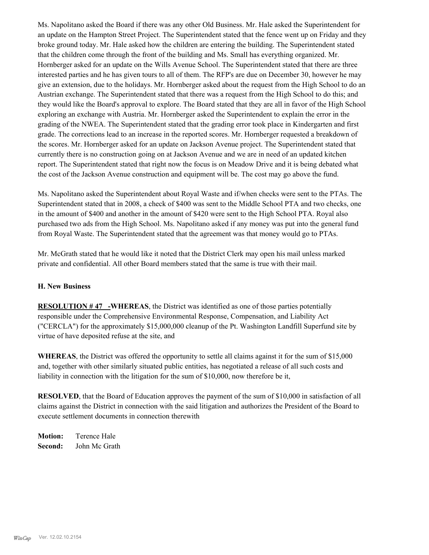Ms. Napolitano asked the Board if there was any other Old Business. Mr. Hale asked the Superintendent for an update on the Hampton Street Project. The Superintendent stated that the fence went up on Friday and they broke ground today. Mr. Hale asked how the children are entering the building. The Superintendent stated that the children come through the front of the building and Ms. Small has everything organized. Mr. Hornberger asked for an update on the Wills Avenue School. The Superintendent stated that there are three interested parties and he has given tours to all of them. The RFP's are due on December 30, however he may give an extension, due to the holidays. Mr. Hornberger asked about the request from the High School to do an Austrian exchange. The Superintendent stated that there was a request from the High School to do this; and they would like the Board's approval to explore. The Board stated that they are all in favor of the High School exploring an exchange with Austria. Mr. Hornberger asked the Superintendent to explain the error in the grading of the NWEA. The Superintendent stated that the grading error took place in Kindergarten and first grade. The corrections lead to an increase in the reported scores. Mr. Hornberger requested a breakdown of the scores. Mr. Hornberger asked for an update on Jackson Avenue project. The Superintendent stated that currently there is no construction going on at Jackson Avenue and we are in need of an updated kitchen report. The Superintendent stated that right now the focus is on Meadow Drive and it is being debated what the cost of the Jackson Avenue construction and equipment will be. The cost may go above the fund.

Ms. Napolitano asked the Superintendent about Royal Waste and if/when checks were sent to the PTAs. The Superintendent stated that in 2008, a check of \$400 was sent to the Middle School PTA and two checks, one in the amount of \$400 and another in the amount of \$420 were sent to the High School PTA. Royal also purchased two ads from the High School. Ms. Napolitano asked if any money was put into the general fund from Royal Waste. The Superintendent stated that the agreement was that money would go to PTAs.

Mr. McGrath stated that he would like it noted that the District Clerk may open his mail unless marked private and confidential. All other Board members stated that the same is true with their mail.

#### **H. New Business**

**RESOLUTION # 47 -WHEREAS**, the District was identified as one of those parties potentially responsible under the Comprehensive Environmental Response, Compensation, and Liability Act ("CERCLA") for the approximately \$15,000,000 cleanup of the Pt. Washington Landfill Superfund site by virtue of have deposited refuse at the site, and

**WHEREAS**, the District was offered the opportunity to settle all claims against it for the sum of \$15,000 and, together with other similarly situated public entities, has negotiated a release of all such costs and liability in connection with the litigation for the sum of \$10,000, now therefore be it,

**RESOLVED**, that the Board of Education approves the payment of the sum of \$10,000 in satisfaction of all claims against the District in connection with the said litigation and authorizes the President of the Board to execute settlement documents in connection therewith

**Motion:** Terence Hale **Second:** John Mc Grath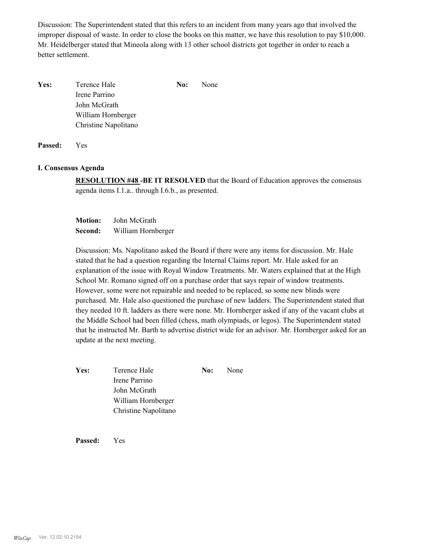Discussion: The Superintendent stated that this refers to an incident from many years ago that involved the improper disposal of waste. In order to close the books on this matter, we have this resolution to pay \$10,000. Mr. Heidelberger stated that Mineola along with 13 other school districts got together in order to reach a better settlement.

| Yes: | Terence Hale         | No: | None |
|------|----------------------|-----|------|
|      | Irene Parrino        |     |      |
|      | John McGrath         |     |      |
|      | William Hornberger   |     |      |
|      | Christine Napolitano |     |      |
|      |                      |     |      |

**Passed:** Yes

#### **I. Consensus Agenda**

**RESOLUTION #48 -BE IT RESOLVED** that the Board of Education approves the consensus agenda items I.1.a.. through I.6.b., as presented.

**Motion:** John McGrath **Second:** William Hornberger

Discussion: Ms. Napolitano asked the Board if there were any items for discussion. Mr. Hale stated that he had a question regarding the Internal Claims report. Mr. Hale asked for an explanation of the issue with Royal Window Treatments. Mr. Waters explained that at the High School Mr. Romano signed off on a purchase order that says repair of window treatments. However, some were not repairable and needed to be replaced, so some new blinds were purchased. Mr. Hale also questioned the purchase of new ladders. The Superintendent stated that they needed 10 ft. ladders as there were none. Mr. Hornberger asked if any of the vacant clubs at the Middle School had been filled (chess, math olympiads, or legos). The Superintendent stated that he instructed Mr. Barth to advertise district wide for an advisor. Mr. Hornberger asked for an update at the next meeting.

**Yes:** Terence Hale **No:** None Irene Parrino John McGrath William Hornberger Christine Napolitano

**Passed:** Yes

*WinCap* Ver. 12.02.10.2154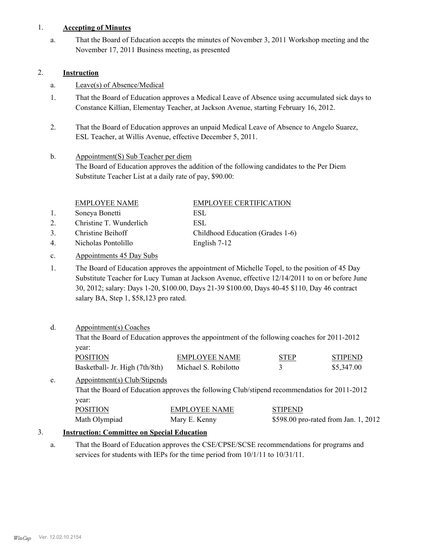### 1. **Accepting of Minutes**

That the Board of Education accepts the minutes of November 3, 2011 Workshop meeting and the November 17, 2011 Business meeting, as presented a.

#### 2. **Instruction**

- a. Leave(s) of Absence/Medical
- That the Board of Education approves a Medical Leave of Absence using accumulated sick days to Constance Killian, Elementay Teacher, at Jackson Avenue, starting February 16, 2012. 1.
- That the Board of Education approves an unpaid Medical Leave of Absence to Angelo Suarez, ESL Teacher, at Willis Avenue, effective December 5, 2011. 2.

#### Appointment(S) Sub Teacher per diem The Board of Education approves the addition of the following candidates to the Per Diem Substitute Teacher List at a daily rate of pay, \$90.00: b.

|                                                                            | <b>EMPLOYEE NAME</b>                                                        | <b>EMPLOYEE CERTIFICATION</b>    |  |
|----------------------------------------------------------------------------|-----------------------------------------------------------------------------|----------------------------------|--|
| 1.                                                                         | Soneya Bonetti                                                              | ESL                              |  |
| 2.                                                                         | Christine T. Wunderlich                                                     | ESL.                             |  |
| 3.                                                                         | Christine Beihoff                                                           | Childhood Education (Grades 1-6) |  |
| 4.                                                                         | Nicholas Pontolillo                                                         | English 7-12                     |  |
| $\mathbf{c}$ .                                                             | Appointments 45 Day Subs                                                    |                                  |  |
| 1.                                                                         | The Board of Education approves the appointment of Michelle Topel, to the p |                                  |  |
| Substitute Teacher for Lugar Tumor at Leakson Avenue, offective 12/14/2011 |                                                                             |                                  |  |

oosition of 45 Day Substitute Teacher for Lucy Tuman at Jackson Avenue, effective 12/14/2011 to on or before June 30, 2012; salary: Days 1-20, \$100.00, Days 21-39 \$100.00, Days 40-45 \$110, Day 46 contract salary BA, Step 1, \$58,123 pro rated. 1.

#### Appointment(s) Coaches d.

That the Board of Education approves the appointment of the following coaches for 2011-2012 year:

| <b>POSITION</b>                | <b>EMPLOYEE NAME</b> | <b>STEP</b> | <b>STIPEND</b> |
|--------------------------------|----------------------|-------------|----------------|
| Basketball- Jr. High (7th/8th) | Michael S. Robilotto |             | \$5,347.00     |

#### Appointment(s) Club/Stipends That the Board of Education approves the following Club/stipend recommendatios for 2011-2012 year: e. POSITION EMPLOYEE NAME STIPEND

| POSITION.     | EMPLOYEE NAME | SHPEND                               |
|---------------|---------------|--------------------------------------|
| Math Olympiad | Mary E. Kenny | \$598.00 pro-rated from Jan. 1, 2012 |

### 3. **Instruction: Committee on Special Education**

That the Board of Education approves the CSE/CPSE/SCSE recommendations for programs and services for students with IEPs for the time period from 10/1/11 to 10/31/11. a.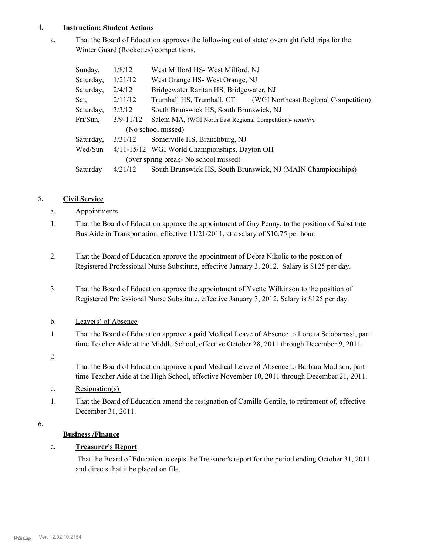### 4. **Instruction: Student Actions**

That the Board of Education approves the following out of state/ overnight field trips for the Winter Guard (Rockettes) competitions. a.

| Sunday,                               | 1/8/12        | West Milford HS-West Milford, NJ                                  |  |  |
|---------------------------------------|---------------|-------------------------------------------------------------------|--|--|
| Saturday,                             | 1/21/12       | West Orange HS-West Orange, NJ                                    |  |  |
| Saturday,                             | 2/4/12        | Bridgewater Raritan HS, Bridgewater, NJ                           |  |  |
| Sat,                                  | 2/11/12       | Trumball HS, Trumball, CT<br>(WGI Northeast Regional Competition) |  |  |
| Saturday,                             | 3/3/12        | South Brunswick HS, South Brunswick, NJ                           |  |  |
| Fri/Sun,                              | $3/9 - 11/12$ | Salem MA, (WGI North East Regional Competition)- tentative        |  |  |
|                                       |               | (No school missed)                                                |  |  |
| Saturday,                             | 3/31/12       | Somerville HS, Branchburg, NJ                                     |  |  |
| Wed/Sun                               |               | 4/11-15/12 WGI World Championships, Dayton OH                     |  |  |
| (over spring break- No school missed) |               |                                                                   |  |  |
| Saturday                              | 4/21/12       | South Brunswick HS, South Brunswick, NJ (MAIN Championships)      |  |  |

# 5. **Civil Service**

# a. Appointments

- That the Board of Education approve the appointment of Guy Penny, to the position of Substitute Bus Aide in Transportation, effective 11/21/2011, at a salary of \$10.75 per hour. 1.
- That the Board of Education approve the appointment of Debra Nikolic to the position of Registered Professional Nurse Substitute, effective January 3, 2012. Salary is \$125 per day. 2.
- That the Board of Education approve the appointment of Yvette Wilkinson to the position of Registered Professional Nurse Substitute, effective January 3, 2012. Salary is \$125 per day. 3.
- b. Leave(s) of Absence
- That the Board of Education approve a paid Medical Leave of Absence to Loretta Sciabarassi, part time Teacher Aide at the Middle School, effective October 28, 2011 through December 9, 2011. 1.
- 2.

That the Board of Education approve a paid Medical Leave of Absence to Barbara Madison, part time Teacher Aide at the High School, effective November 10, 2011 through December 21, 2011.

- c. Resignation(s)
- That the Board of Education amend the resignation of Camille Gentile, to retirement of, effective December 31, 2011. 1.
- 6.

# **Business /Finance**

# a. **Treasurer's Report**

 That the Board of Education accepts the Treasurer's report for the period ending October 31, 2011 and directs that it be placed on file.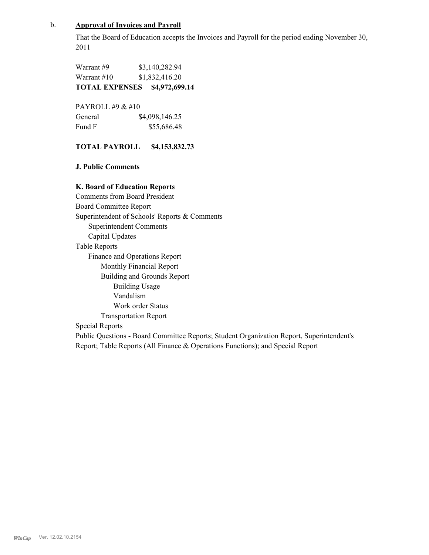### b. **Approval of Invoices and Payroll**

That the Board of Education accepts the Invoices and Payroll for the period ending November 30, 2011

Warrant #9 \$3,140,282.94 Warrant #10 \$1,832,416.20 **TOTAL EXPENSES \$4,972,699.14**

PAYROLL #9 & #10 General  $$4,098,146.25$ Fund F \$55,686.48

### **TOTAL PAYROLL \$4,153,832.73**

**J. Public Comments**

#### **K. Board of Education Reports**

Comments from Board President Board Committee Report Superintendent of Schools' Reports & Comments Superintendent Comments Capital Updates Table Reports Finance and Operations Report Monthly Financial Report Building and Grounds Report Building Usage Vandalism Work order Status Transportation Report Special Reports Public Questions - Board Committee Reports; Student Organization Report, Superintendent's Report; Table Reports (All Finance & Operations Functions); and Special Report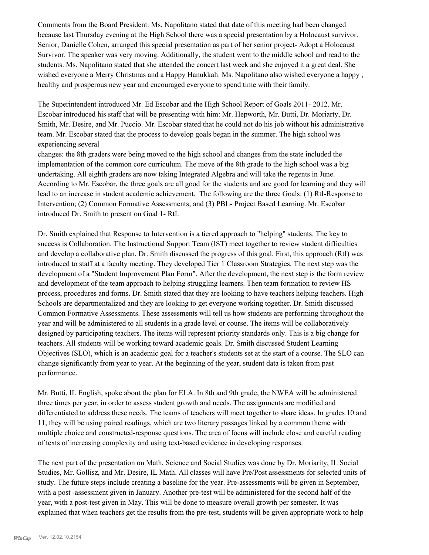Comments from the Board President: Ms. Napolitano stated that date of this meeting had been changed because last Thursday evening at the High School there was a special presentation by a Holocaust survivor. Senior, Danielle Cohen, arranged this special presentation as part of her senior project- Adopt a Holocaust Survivor. The speaker was very moving. Additionally, the student went to the middle school and read to the students. Ms. Napolitano stated that she attended the concert last week and she enjoyed it a great deal. She wished everyone a Merry Christmas and a Happy Hanukkah. Ms. Napolitano also wished everyone a happy , healthy and prosperous new year and encouraged everyone to spend time with their family.

The Superintendent introduced Mr. Ed Escobar and the High School Report of Goals 2011- 2012. Mr. Escobar introduced his staff that will be presenting with him: Mr. Hepworth, Mr. Butti, Dr. Moriarty, Dr. Smith, Mr. Desire, and Mr. Puccio. Mr. Escobar stated that he could not do his job without his administrative team. Mr. Escobar stated that the process to develop goals began in the summer. The high school was experiencing several

changes: the 8th graders were being moved to the high school and changes from the state included the implementation of the common core curriculum. The move of the 8th grade to the high school was a big undertaking. All eighth graders are now taking Integrated Algebra and will take the regents in June. According to Mr. Escobar, the three goals are all good for the students and are good for learning and they will lead to an increase in student academic achievement. The following are the three Goals: (1) RtI-Response to Intervention; (2) Common Formative Assessments; and (3) PBL- Project Based Learning. Mr. Escobar introduced Dr. Smith to present on Goal 1- RtI.

Dr. Smith explained that Response to Intervention is a tiered approach to "helping" students. The key to success is Collaboration. The Instructional Support Team (IST) meet together to review student difficulties and develop a collaborative plan. Dr. Smith discussed the progress of this goal. First, this approach (RtI) was introduced to staff at a faculty meeting. They developed Tier 1 Classroom Strategies. The next step was the development of a "Student Improvement Plan Form". After the development, the next step is the form review and development of the team approach to helping struggling learners. Then team formation to review HS process, procedures and forms. Dr. Smith stated that they are looking to have teachers helping teachers. High Schools are departmentalized and they are looking to get everyone working together. Dr. Smith discussed Common Formative Assessments. These assessments will tell us how students are performing throughout the year and will be administered to all students in a grade level or course. The items will be collaboratively designed by participating teachers. The items will represent priority standards only. This is a big change for teachers. All students will be working toward academic goals. Dr. Smith discussed Student Learning Objectives (SLO), which is an academic goal for a teacher's students set at the start of a course. The SLO can change significantly from year to year. At the beginning of the year, student data is taken from past performance.

Mr. Butti, IL English, spoke about the plan for ELA. In 8th and 9th grade, the NWEA will be administered three times per year, in order to assess student growth and needs. The assignments are modified and differentiated to address these needs. The teams of teachers will meet together to share ideas. In grades 10 and 11, they will be using paired readings, which are two literary passages linked by a common theme with multiple choice and constructed-response questions. The area of focus will include close and careful reading of texts of increasing complexity and using text-based evidence in developing responses.

The next part of the presentation on Math, Science and Social Studies was done by Dr. Moriarity, IL Social Studies, Mr. Gollisz, and Mr. Desire, IL Math. All classes will have Pre/Post assessments for selected units of study. The future steps include creating a baseline for the year. Pre-assessments will be given in September, with a post -assessment given in January. Another pre-test will be administered for the second half of the year, with a post-test given in May. This will be done to measure overall growth per semester. It was explained that when teachers get the results from the pre-test, students will be given appropriate work to help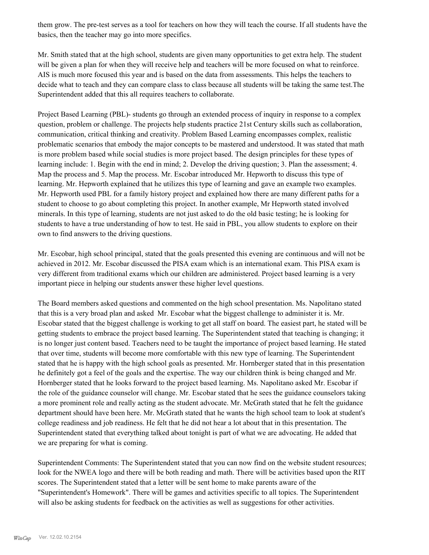them grow. The pre-test serves as a tool for teachers on how they will teach the course. If all students have the basics, then the teacher may go into more specifics.

Mr. Smith stated that at the high school, students are given many opportunities to get extra help. The student will be given a plan for when they will receive help and teachers will be more focused on what to reinforce. AIS is much more focused this year and is based on the data from assessments. This helps the teachers to decide what to teach and they can compare class to class because all students will be taking the same test.The Superintendent added that this all requires teachers to collaborate.

Project Based Learning (PBL)- students go through an extended process of inquiry in response to a complex question, problem or challenge. The projects help students practice 21st Century skills such as collaboration, communication, critical thinking and creativity. Problem Based Learning encompasses complex, realistic problematic scenarios that embody the major concepts to be mastered and understood. It was stated that math is more problem based while social studies is more project based. The design principles for these types of learning include: 1. Begin with the end in mind; 2. Develop the driving question; 3. Plan the assessment; 4. Map the process and 5. Map the process. Mr. Escobar introduced Mr. Hepworth to discuss this type of learning. Mr. Hepworth explained that he utilizes this type of learning and gave an example two examples. Mr. Hepworth used PBL for a family history project and explained how there are many different paths for a student to choose to go about completing this project. In another example, Mr Hepworth stated involved minerals. In this type of learning, students are not just asked to do the old basic testing; he is looking for students to have a true understanding of how to test. He said in PBL, you allow students to explore on their own to find answers to the driving questions.

Mr. Escobar, high school principal, stated that the goals presented this evening are continuous and will not be achieved in 2012. Mr. Escobar discussed the PISA exam which is an international exam. This PISA exam is very different from traditional exams which our children are administered. Project based learning is a very important piece in helping our students answer these higher level questions.

The Board members asked questions and commented on the high school presentation. Ms. Napolitano stated that this is a very broad plan and asked Mr. Escobar what the biggest challenge to administer it is. Mr. Escobar stated that the biggest challenge is working to get all staff on board. The easiest part, he stated will be getting students to embrace the project based learning. The Superintendent stated that teaching is changing; it is no longer just content based. Teachers need to be taught the importance of project based learning. He stated that over time, students will become more comfortable with this new type of learning. The Superintendent stated that he is happy with the high school goals as presented. Mr. Hornberger stated that in this presentation he definitely got a feel of the goals and the expertise. The way our children think is being changed and Mr. Hornberger stated that he looks forward to the project based learning. Ms. Napolitano asked Mr. Escobar if the role of the guidance counselor will change. Mr. Escobar stated that he sees the guidance counselors taking a more prominent role and really acting as the student advocate. Mr. McGrath stated that he felt the guidance department should have been here. Mr. McGrath stated that he wants the high school team to look at student's college readiness and job readiness. He felt that he did not hear a lot about that in this presentation. The Superintendent stated that everything talked about tonight is part of what we are advocating. He added that we are preparing for what is coming.

Superintendent Comments: The Superintendent stated that you can now find on the website student resources; look for the NWEA logo and there will be both reading and math. There will be activities based upon the RIT scores. The Superintendent stated that a letter will be sent home to make parents aware of the "Superintendent's Homework". There will be games and activities specific to all topics. The Superintendent will also be asking students for feedback on the activities as well as suggestions for other activities.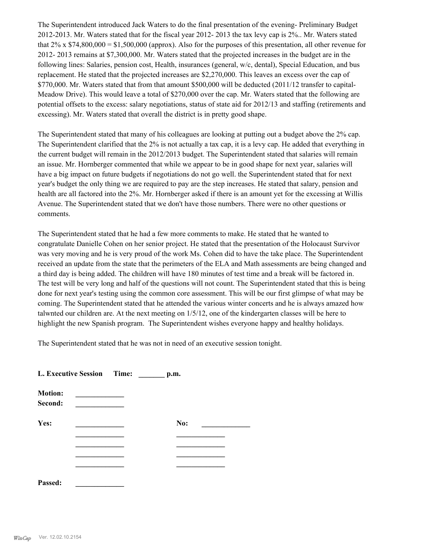The Superintendent introduced Jack Waters to do the final presentation of the evening- Preliminary Budget 2012-2013. Mr. Waters stated that for the fiscal year 2012- 2013 the tax levy cap is 2%.. Mr. Waters stated that 2% x \$74,800,000 = \$1,500,000 (approx). Also for the purposes of this presentation, all other revenue for 2012- 2013 remains at \$7,300,000. Mr. Waters stated that the projected increases in the budget are in the following lines: Salaries, pension cost, Health, insurances (general, w/c, dental), Special Education, and bus replacement. He stated that the projected increases are \$2,270,000. This leaves an excess over the cap of \$770,000. Mr. Waters stated that from that amount \$500,000 will be deducted (2011/12 transfer to capital-Meadow Drive). This would leave a total of \$270,000 over the cap. Mr. Waters stated that the following are potential offsets to the excess: salary negotiations, status of state aid for 2012/13 and staffing (retirements and excessing). Mr. Waters stated that overall the district is in pretty good shape.

The Superintendent stated that many of his colleagues are looking at putting out a budget above the 2% cap. The Superintendent clarified that the 2% is not actually a tax cap, it is a levy cap. He added that everything in the current budget will remain in the 2012/2013 budget. The Superintendent stated that salaries will remain an issue. Mr. Hornberger commented that while we appear to be in good shape for next year, salaries will have a big impact on future budgets if negotiations do not go well. the Superintendent stated that for next year's budget the only thing we are required to pay are the step increases. He stated that salary, pension and health are all factored into the 2%. Mr. Hornberger asked if there is an amount yet for the excessing at Willis Avenue. The Superintendent stated that we don't have those numbers. There were no other questions or comments.

The Superintendent stated that he had a few more comments to make. He stated that he wanted to congratulate Danielle Cohen on her senior project. He stated that the presentation of the Holocaust Survivor was very moving and he is very proud of the work Ms. Cohen did to have the take place. The Superintendent received an update from the state that the perimeters of the ELA and Math assessments are being changed and a third day is being added. The children will have 180 minutes of test time and a break will be factored in. The test will be very long and half of the questions will not count. The Superintendent stated that this is being done for next year's testing using the common core assessment. This will be our first glimpse of what may be coming. The Superintendent stated that he attended the various winter concerts and he is always amazed how talwnted our children are. At the next meeting on 1/5/12, one of the kindergarten classes will be here to highlight the new Spanish program. The Superintendent wishes everyone happy and healthy holidays.

The Superintendent stated that he was not in need of an executive session tonight.

| <b>L. Executive Session</b> | Time: | p.m. |
|-----------------------------|-------|------|
|-----------------------------|-------|------|

| <b>Motion:</b><br>Second: |     |
|---------------------------|-----|
| Yes:                      | No: |
|                           |     |
|                           |     |
|                           |     |
|                           |     |
| Passed:                   |     |